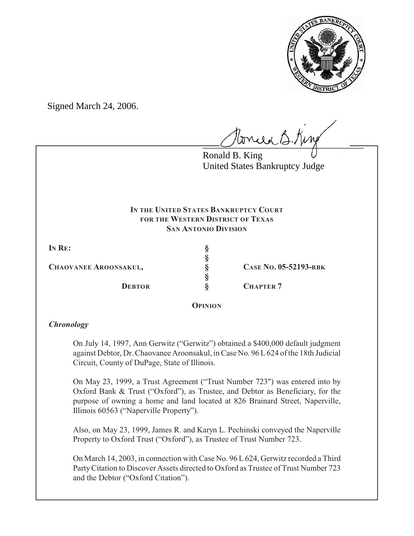

Signed March 24, 2006.

tonica B. King

Ronald B. King United States Bankruptcy Judge

## **IN THE UNITED STATES BANKRUPTCY COURT FOR THE WESTERN DISTRICT OF TEXAS SAN ANTONIO DIVISION**

**IN RE: §**

**CHAOVANEE AROONSAKUL, § CASE NO. 05-52193-RBK**

**§ §**

**DEBTOR § CHAPTER 7** 

**OPINION**

# *Chronology*

On July 14, 1997, Ann Gerwitz ("Gerwitz") obtained a \$400,000 default judgment against Debtor, Dr. Chaovanee Aroonsakul, in Case No. 96 L624 of the 18th Judicial Circuit, County of DuPage, State of Illinois.

On May 23, 1999, a Trust Agreement ("Trust Number 723") was entered into by Oxford Bank & Trust ("Oxford"), as Trustee, and Debtor as Beneficiary, for the purpose of owning a home and land located at 826 Brainard Street, Naperville, Illinois 60563 ("Naperville Property").

Also, on May 23, 1999, James R. and Karyn L. Pechinski conveyed the Naperville Property to Oxford Trust ("Oxford"), as Trustee of Trust Number 723.

On March 14, 2003, in connection with Case No. 96 L 624, Gerwitz recorded a Third Party Citation to Discover Assets directed to Oxford as Trustee of Trust Number 723 and the Debtor ("Oxford Citation").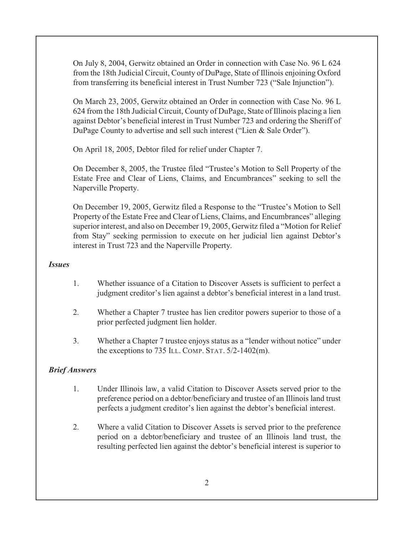On July 8, 2004, Gerwitz obtained an Order in connection with Case No. 96 L 624 from the 18th Judicial Circuit, County of DuPage, State of Illinois enjoining Oxford from transferring its beneficial interest in Trust Number 723 ("Sale Injunction").

On March 23, 2005, Gerwitz obtained an Order in connection with Case No. 96 L 624 from the 18th Judicial Circuit, County of DuPage, State of Illinois placing a lien against Debtor's beneficial interest in Trust Number 723 and ordering the Sheriff of DuPage County to advertise and sell such interest ("Lien & Sale Order").

On April 18, 2005, Debtor filed for relief under Chapter 7.

On December 8, 2005, the Trustee filed "Trustee's Motion to Sell Property of the Estate Free and Clear of Liens, Claims, and Encumbrances" seeking to sell the Naperville Property.

On December 19, 2005, Gerwitz filed a Response to the "Trustee's Motion to Sell Property of the Estate Free and Clear of Liens, Claims, and Encumbrances" alleging superior interest, and also on December 19, 2005, Gerwitz filed a "Motion for Relief from Stay" seeking permission to execute on her judicial lien against Debtor's interest in Trust 723 and the Naperville Property.

### *Issues*

- 1. Whether issuance of a Citation to Discover Assets is sufficient to perfect a judgment creditor's lien against a debtor's beneficial interest in a land trust.
- 2. Whether a Chapter 7 trustee has lien creditor powers superior to those of a prior perfected judgment lien holder.
- 3. Whether a Chapter 7 trustee enjoys status as a "lender without notice" under the exceptions to 735 ILL. COMP. STAT.  $5/2$ -1402(m).

## *Brief Answers*

- 1. Under Illinois law, a valid Citation to Discover Assets served prior to the preference period on a debtor/beneficiary and trustee of an Illinois land trust perfects a judgment creditor's lien against the debtor's beneficial interest.
- 2. Where a valid Citation to Discover Assets is served prior to the preference period on a debtor/beneficiary and trustee of an Illinois land trust, the resulting perfected lien against the debtor's beneficial interest is superior to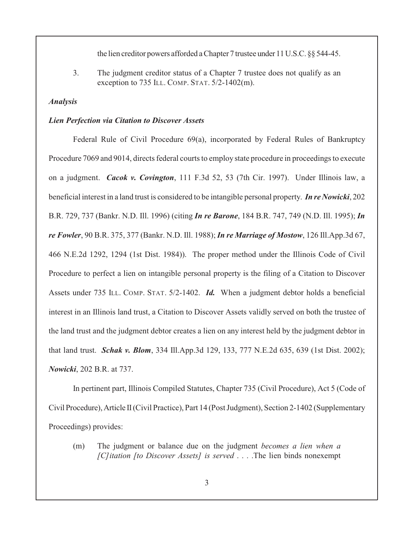the lien creditor powers afforded a Chapter 7 trustee under 11 U.S.C. §§ 544-45.

3. The judgment creditor status of a Chapter 7 trustee does not qualify as an exception to 735 ILL. COMP. STAT.  $5/2$ -1402(m).

#### *Analysis*

#### *Lien Perfection via Citation to Discover Assets*

Federal Rule of Civil Procedure 69(a), incorporated by Federal Rules of Bankruptcy Procedure 7069 and 9014, directs federal courts to employ state procedure in proceedings to execute on a judgment. *Cacok v. Covington*, 111 F.3d 52, 53 (7th Cir. 1997). Under Illinois law, a beneficial interest in a land trust is considered to be intangible personal property. *In re Nowicki*, 202 B.R. 729, 737 (Bankr. N.D. Ill. 1996) (citing *In re Barone*, 184 B.R. 747, 749 (N.D. Ill. 1995); *In re Fowler*, 90 B.R. 375, 377 (Bankr. N.D. Ill. 1988);*In re Marriage of Mostow*, 126 Ill.App.3d 67, 466 N.E.2d 1292, 1294 (1st Dist. 1984)). The proper method under the Illinois Code of Civil Procedure to perfect a lien on intangible personal property is the filing of a Citation to Discover Assets under 735 ILL. COMP. STAT. 5/2-1402. *Id.* When a judgment debtor holds a beneficial interest in an Illinois land trust, a Citation to Discover Assets validly served on both the trustee of the land trust and the judgment debtor creates a lien on any interest held by the judgment debtor in that land trust. *Schak v. Blom*, 334 Ill.App.3d 129, 133, 777 N.E.2d 635, 639 (1st Dist. 2002); *Nowicki*, 202 B.R. at 737.

In pertinent part, Illinois Compiled Statutes, Chapter 735 (Civil Procedure), Act 5 (Code of Civil Procedure), Article II (Civil Practice), Part 14 (Post Judgment), Section 2-1402 (Supplementary Proceedings) provides:

(m) The judgment or balance due on the judgment *becomes a lien when a [C]itation [to Discover Assets] is served* . . . .The lien binds nonexempt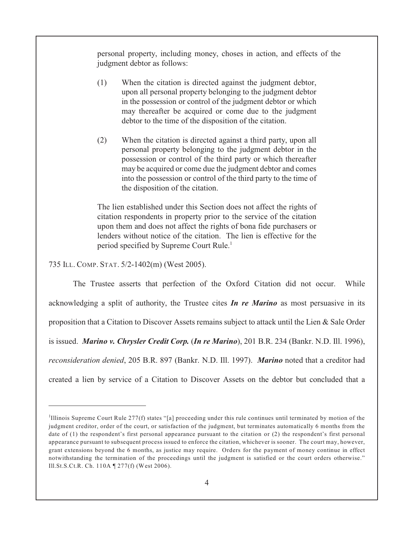personal property, including money, choses in action, and effects of the judgment debtor as follows:

- (1) When the citation is directed against the judgment debtor, upon all personal property belonging to the judgment debtor in the possession or control of the judgment debtor or which may thereafter be acquired or come due to the judgment debtor to the time of the disposition of the citation.
- (2) When the citation is directed against a third party, upon all personal property belonging to the judgment debtor in the possession or control of the third party or which thereafter may be acquired or come due the judgment debtor and comes into the possession or control of the third party to the time of the disposition of the citation.

The lien established under this Section does not affect the rights of citation respondents in property prior to the service of the citation upon them and does not affect the rights of bona fide purchasers or lenders without notice of the citation. The lien is effective for the period specified by Supreme Court Rule.<sup>1</sup>

735 ILL. COMP. STAT. 5/2-1402(m) (West 2005).

The Trustee asserts that perfection of the Oxford Citation did not occur. While acknowledging a split of authority, the Trustee cites *In re Marino* as most persuasive in its proposition that a Citation to Discover Assets remains subject to attack until the Lien & Sale Order is issued. *Marino v. Chrysler Credit Corp.* (*In re Marino*), 201 B.R. 234 (Bankr. N.D. Ill. 1996), *reconsideration denied*, 205 B.R. 897 (Bankr. N.D. Ill. 1997). *Marino* noted that a creditor had created a lien by service of a Citation to Discover Assets on the debtor but concluded that a

 $<sup>1</sup>$ Illinois Supreme Court Rule 277(f) states "[a] proceeding under this rule continues until terminated by motion of the</sup> judgment creditor, order of the court, or satisfaction of the judgment, but terminates automatically 6 months from the date of (1) the respondent's first personal appearance pursuant to the citation or (2) the respondent's first personal appearance pursuant to subsequent process issued to enforce the citation, whichever is sooner. The court may, however, grant extensions beyond the 6 months, as justice may require. Orders for the payment of money continue in effect notwithstanding the termination of the proceedings until the judgment is satisfied or the court orders otherwise." Ill.St.S.Ct.R. Ch. 110A ¶ 277(f) (West 2006).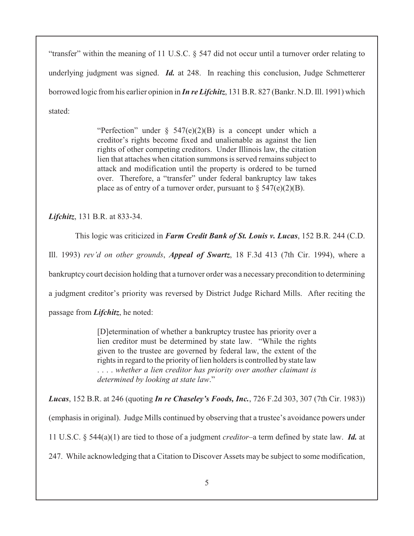"transfer" within the meaning of 11 U.S.C. § 547 did not occur until a turnover order relating to underlying judgment was signed. *Id.* at 248. In reaching this conclusion, Judge Schmetterer borrowed logic from his earlier opinion in *In re Lifchitz*, 131 B.R. 827 (Bankr. N.D. Ill. 1991) which stated:

> "Perfection" under  $\S$  547(e)(2)(B) is a concept under which a creditor's rights become fixed and unalienable as against the lien rights of other competing creditors. Under Illinois law, the citation lien that attaches when citation summons is served remains subject to attack and modification until the property is ordered to be turned over. Therefore, a "transfer" under federal bankruptcy law takes place as of entry of a turnover order, pursuant to  $\S$  547(e)(2)(B).

*Lifchitz*, 131 B.R. at 833-34.

This logic was criticized in *Farm Credit Bank of St. Louis v. Lucas*, 152 B.R. 244 (C.D.

Ill. 1993) *rev'd on other grounds*, *Appeal of Swartz*, 18 F.3d 413 (7th Cir. 1994), where a

bankruptcy court decision holding that a turnover order was a necessary precondition to determining

a judgment creditor's priority was reversed by District Judge Richard Mills. After reciting the

passage from *Lifchitz*, he noted:

[D]etermination of whether a bankruptcy trustee has priority over a lien creditor must be determined by state law. "While the rights given to the trustee are governed by federal law, the extent of the rights in regard to the priority of lien holders is controlled by state law . . . . *whether a lien creditor has priority over another claimant is determined by looking at state law*."

*Lucas*, 152 B.R. at 246 (quoting *In re Chaseley's Foods, Inc.*, 726 F.2d 303, 307 (7th Cir. 1983))

(emphasis in original). Judge Mills continued by observing that a trustee's avoidance powers under

11 U.S.C. § 544(a)(1) are tied to those of a judgment *creditor*–a term defined by state law. *Id.* at

247. While acknowledging that a Citation to Discover Assets may be subject to some modification,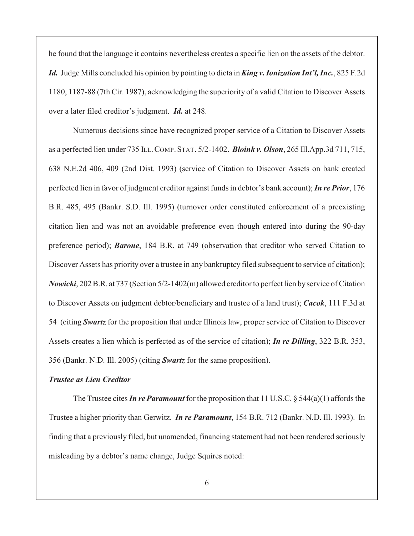he found that the language it contains nevertheless creates a specific lien on the assets of the debtor. *Id.* Judge Mills concluded his opinion by pointing to dicta in *King v. Ionization Int'l, Inc.*, 825 F.2d 1180, 1187-88 (7th Cir. 1987), acknowledging the superiority of a valid Citation to Discover Assets over a later filed creditor's judgment. *Id.* at 248.

Numerous decisions since have recognized proper service of a Citation to Discover Assets as a perfected lien under 735 ILL.COMP. STAT. 5/2-1402. *Bloink v. Olson*, 265 Ill.App.3d 711, 715, 638 N.E.2d 406, 409 (2nd Dist. 1993) (service of Citation to Discover Assets on bank created perfected lien in favor of judgment creditor against funds in debtor's bank account); *In re Prior*, 176 B.R. 485, 495 (Bankr. S.D. Ill. 1995) (turnover order constituted enforcement of a preexisting citation lien and was not an avoidable preference even though entered into during the 90-day preference period); *Barone*, 184 B.R. at 749 (observation that creditor who served Citation to Discover Assets has priority over a trustee in any bankruptcy filed subsequent to service of citation); *Nowicki*, 202 B.R. at 737 (Section 5/2-1402(m) allowed creditor to perfect lien byservice of Citation to Discover Assets on judgment debtor/beneficiary and trustee of a land trust); *Cacok*, 111 F.3d at 54 (citing *Swartz* for the proposition that under Illinois law, proper service of Citation to Discover Assets creates a lien which is perfected as of the service of citation); *In re Dilling*, 322 B.R. 353, 356 (Bankr. N.D. Ill. 2005) (citing *Swartz* for the same proposition).

### *Trustee as Lien Creditor*

The Trustee cites *In re Paramount* for the proposition that 11 U.S.C. § 544(a)(1) affords the Trustee a higher priority than Gerwitz. *In re Paramount*, 154 B.R. 712 (Bankr. N.D. Ill. 1993). In finding that a previously filed, but unamended, financing statement had not been rendered seriously misleading by a debtor's name change, Judge Squires noted: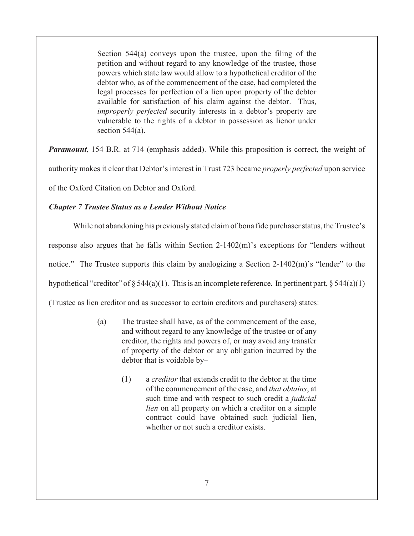Section 544(a) conveys upon the trustee, upon the filing of the petition and without regard to any knowledge of the trustee, those powers which state law would allow to a hypothetical creditor of the debtor who, as of the commencement of the case, had completed the legal processes for perfection of a lien upon property of the debtor available for satisfaction of his claim against the debtor. Thus, *improperly perfected* security interests in a debtor's property are vulnerable to the rights of a debtor in possession as lienor under section 544(a).

*Paramount*, 154 B.R. at 714 (emphasis added). While this proposition is correct, the weight of

authority makes it clear that Debtor's interest in Trust 723 became *properly perfected* upon service

of the Oxford Citation on Debtor and Oxford.

## *Chapter 7 Trustee Status as a Lender Without Notice*

While not abandoning his previously stated claim of bona fide purchaser status, the Trustee's

response also argues that he falls within Section 2-1402(m)'s exceptions for "lenders without

notice." The Trustee supports this claim by analogizing a Section 2-1402(m)'s "lender" to the

hypothetical "creditor" of  $\S 544(a)(1)$ . This is an incomplete reference. In pertinent part,  $\S 544(a)(1)$ 

(Trustee as lien creditor and as successor to certain creditors and purchasers) states:

- (a) The trustee shall have, as of the commencement of the case, and without regard to any knowledge of the trustee or of any creditor, the rights and powers of, or may avoid any transfer of property of the debtor or any obligation incurred by the debtor that is voidable by–
	- (1) a *creditor* that extends credit to the debtor at the time of the commencement of the case, and *that obtains*, at such time and with respect to such credit a *judicial lien* on all property on which a creditor on a simple contract could have obtained such judicial lien, whether or not such a creditor exists.